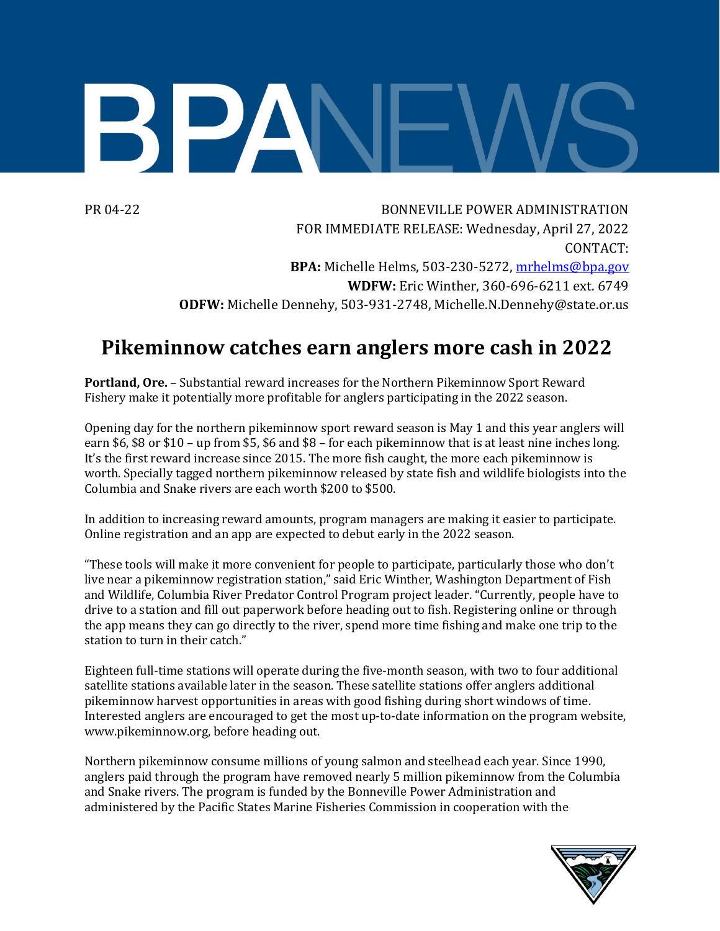

PR 04-22 BONNEVILLE POWER ADMINISTRATION FOR IMMEDIATE RELEASE: Wednesday, April 27, 2022 CONTACT: **BPA:** Michelle Helms, 503-230-5272, [mrhelms@bpa.gov](mailto:mrhelms@bpa.gov) **WDFW:** Eric Winther, 360-696-6211 ext. 6749 **ODFW:** Michelle Dennehy, 503-931-2748, Michelle.N.Dennehy@state.or.us

## **Pikeminnow catches earn anglers more cash in 2022**

**Portland, Ore.** – Substantial reward increases for the Northern Pikeminnow Sport Reward Fishery make it potentially more profitable for anglers participating in the 2022 season.

Opening day for the northern pikeminnow sport reward season is May 1 and this year anglers will earn \$6, \$8 or \$10 – up from \$5, \$6 and \$8 – for each pikeminnow that is at least nine inches long. It's the first reward increase since 2015. The more fish caught, the more each pikeminnow is worth. Specially tagged northern pikeminnow released by state fish and wildlife biologists into the Columbia and Snake rivers are each worth \$200 to \$500.

In addition to increasing reward amounts, program managers are making it easier to participate. Online registration and an app are expected to debut early in the 2022 season.

"These tools will make it more convenient for people to participate, particularly those who don't live near a pikeminnow registration station," said Eric Winther, Washington Department of Fish and Wildlife, Columbia River Predator Control Program project leader. "Currently, people have to drive to a station and fill out paperwork before heading out to fish. Registering online or through the app means they can go directly to the river, spend more time fishing and make one trip to the station to turn in their catch."

Eighteen full-time stations will operate during the five-month season, with two to four additional satellite stations available later in the season. These satellite stations offer anglers additional pikeminnow harvest opportunities in areas with good fishing during short windows of time. Interested anglers are encouraged to get the most up-to-date information on the program website, [www.pikeminnow.org,](http://www.pikeminnow.org/) before heading out.

Northern pikeminnow consume millions of young salmon and steelhead each year. Since 1990, anglers paid through the program have removed nearly 5 million pikeminnow from the Columbia and Snake rivers. The program is funded by the Bonneville Power Administration and administered by the Pacific States Marine Fisheries Commission in cooperation with the